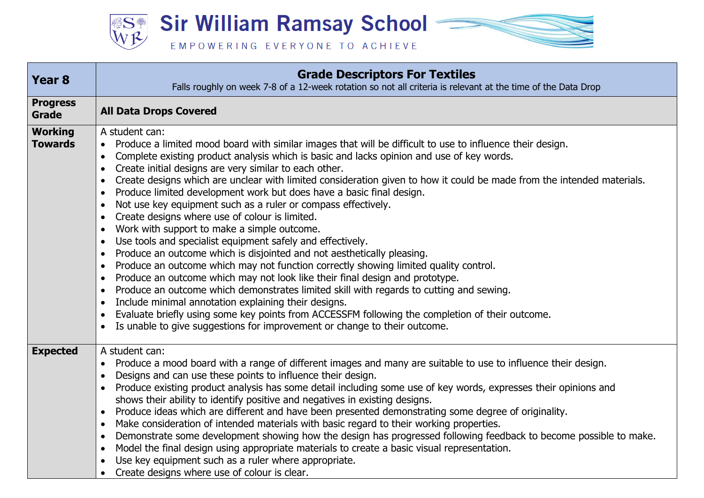

| <b>Year 8</b>                    | <b>Grade Descriptors For Textiles</b><br>Falls roughly on week 7-8 of a 12-week rotation so not all criteria is relevant at the time of the Data Drop                                                                                                                                                                                                                                                                                                                                                                                                                                                                                                                                                                                                                                                                                                                                                                                                                                                                                                                                                                                                                                                                                                                                                                                                                                                                                                                                                        |
|----------------------------------|--------------------------------------------------------------------------------------------------------------------------------------------------------------------------------------------------------------------------------------------------------------------------------------------------------------------------------------------------------------------------------------------------------------------------------------------------------------------------------------------------------------------------------------------------------------------------------------------------------------------------------------------------------------------------------------------------------------------------------------------------------------------------------------------------------------------------------------------------------------------------------------------------------------------------------------------------------------------------------------------------------------------------------------------------------------------------------------------------------------------------------------------------------------------------------------------------------------------------------------------------------------------------------------------------------------------------------------------------------------------------------------------------------------------------------------------------------------------------------------------------------------|
| <b>Progress</b><br>Grade         | <b>All Data Drops Covered</b>                                                                                                                                                                                                                                                                                                                                                                                                                                                                                                                                                                                                                                                                                                                                                                                                                                                                                                                                                                                                                                                                                                                                                                                                                                                                                                                                                                                                                                                                                |
| <b>Working</b><br><b>Towards</b> | A student can:<br>Produce a limited mood board with similar images that will be difficult to use to influence their design.<br>Complete existing product analysis which is basic and lacks opinion and use of key words.<br>$\bullet$<br>Create initial designs are very similar to each other.<br>$\bullet$<br>Create designs which are unclear with limited consideration given to how it could be made from the intended materials.<br>$\bullet$<br>Produce limited development work but does have a basic final design.<br>$\bullet$<br>Not use key equipment such as a ruler or compass effectively.<br>$\bullet$<br>Create designs where use of colour is limited.<br>$\bullet$<br>Work with support to make a simple outcome.<br>$\bullet$<br>Use tools and specialist equipment safely and effectively.<br>$\bullet$<br>Produce an outcome which is disjointed and not aesthetically pleasing.<br>$\bullet$<br>Produce an outcome which may not function correctly showing limited quality control.<br>$\bullet$<br>Produce an outcome which may not look like their final design and prototype.<br>$\bullet$<br>Produce an outcome which demonstrates limited skill with regards to cutting and sewing.<br>$\bullet$<br>Include minimal annotation explaining their designs.<br>$\bullet$<br>Evaluate briefly using some key points from ACCESSFM following the completion of their outcome.<br>$\bullet$<br>Is unable to give suggestions for improvement or change to their outcome.<br>$\bullet$ |
| <b>Expected</b>                  | A student can:<br>Produce a mood board with a range of different images and many are suitable to use to influence their design.<br>$\bullet$<br>Designs and can use these points to influence their design.<br>$\bullet$<br>Produce existing product analysis has some detail including some use of key words, expresses their opinions and<br>shows their ability to identify positive and negatives in existing designs.<br>Produce ideas which are different and have been presented demonstrating some degree of originality.<br>$\bullet$<br>Make consideration of intended materials with basic regard to their working properties.<br>$\bullet$<br>Demonstrate some development showing how the design has progressed following feedback to become possible to make.<br>$\bullet$<br>Model the final design using appropriate materials to create a basic visual representation.<br>$\bullet$<br>Use key equipment such as a ruler where appropriate.<br>$\bullet$<br>Create designs where use of colour is clear.                                                                                                                                                                                                                                                                                                                                                                                                                                                                                    |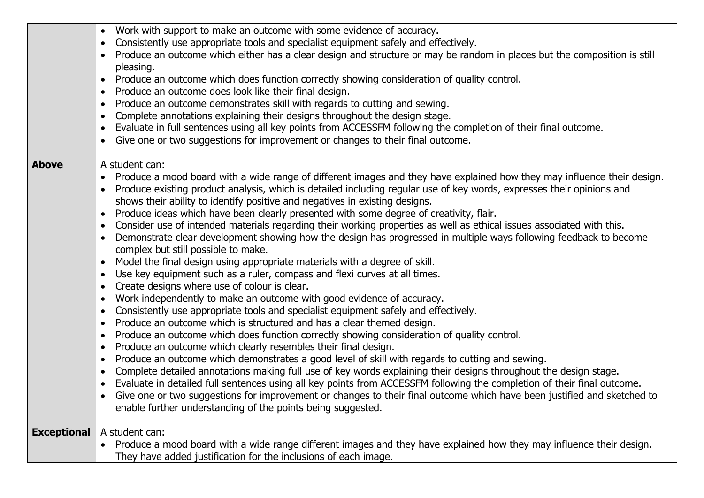|              | Work with support to make an outcome with some evidence of accuracy.                                                                                                  |
|--------------|-----------------------------------------------------------------------------------------------------------------------------------------------------------------------|
|              | Consistently use appropriate tools and specialist equipment safely and effectively.<br>$\bullet$                                                                      |
|              | Produce an outcome which either has a clear design and structure or may be random in places but the composition is still<br>pleasing.                                 |
|              | Produce an outcome which does function correctly showing consideration of quality control.<br>$\bullet$                                                               |
|              | Produce an outcome does look like their final design.<br>$\bullet$                                                                                                    |
|              | Produce an outcome demonstrates skill with regards to cutting and sewing.<br>$\bullet$                                                                                |
|              | Complete annotations explaining their designs throughout the design stage.<br>$\bullet$                                                                               |
|              | Evaluate in full sentences using all key points from ACCESSFM following the completion of their final outcome.<br>$\bullet$                                           |
|              | Give one or two suggestions for improvement or changes to their final outcome.                                                                                        |
| <b>Above</b> | A student can:                                                                                                                                                        |
|              | Produce a mood board with a wide range of different images and they have explained how they may influence their design.                                               |
|              | Produce existing product analysis, which is detailed including regular use of key words, expresses their opinions and                                                 |
|              | shows their ability to identify positive and negatives in existing designs.                                                                                           |
|              | Produce ideas which have been clearly presented with some degree of creativity, flair.<br>$\bullet$                                                                   |
|              | Consider use of intended materials regarding their working properties as well as ethical issues associated with this.<br>$\bullet$                                    |
|              | Demonstrate clear development showing how the design has progressed in multiple ways following feedback to become<br>$\bullet$<br>complex but still possible to make. |
|              | Model the final design using appropriate materials with a degree of skill.<br>$\bullet$                                                                               |
|              | Use key equipment such as a ruler, compass and flexi curves at all times.<br>$\bullet$                                                                                |
|              | Create designs where use of colour is clear.<br>$\bullet$                                                                                                             |
|              | Work independently to make an outcome with good evidence of accuracy.<br>$\bullet$                                                                                    |
|              | Consistently use appropriate tools and specialist equipment safely and effectively.<br>$\bullet$                                                                      |
|              | Produce an outcome which is structured and has a clear themed design.<br>$\bullet$                                                                                    |
|              | Produce an outcome which does function correctly showing consideration of quality control.<br>$\bullet$                                                               |
|              | Produce an outcome which clearly resembles their final design.<br>$\bullet$                                                                                           |
|              | Produce an outcome which demonstrates a good level of skill with regards to cutting and sewing.<br>$\bullet$                                                          |
|              | Complete detailed annotations making full use of key words explaining their designs throughout the design stage.<br>$\bullet$                                         |
|              | Evaluate in detailed full sentences using all key points from ACCESSFM following the completion of their final outcome.<br>$\bullet$                                  |
|              | Give one or two suggestions for improvement or changes to their final outcome which have been justified and sketched to<br>$\bullet$                                  |
|              | enable further understanding of the points being suggested.                                                                                                           |
|              | <b>Exceptional</b>   A student can:                                                                                                                                   |
|              | Produce a mood board with a wide range different images and they have explained how they may influence their design.                                                  |
|              | They have added justification for the inclusions of each image.                                                                                                       |